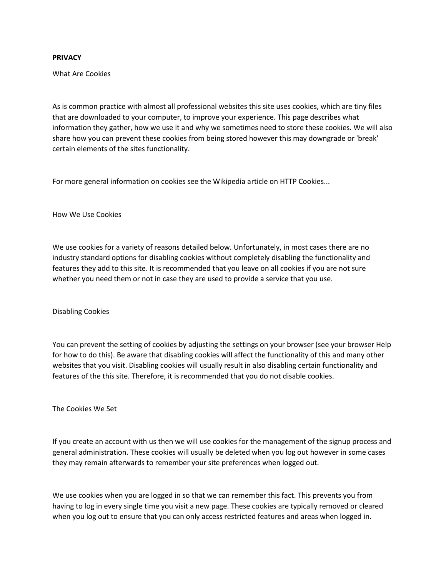## **PRIVACY**

What Are Cookies

As is common practice with almost all professional websites this site uses cookies, which are tiny files that are downloaded to your computer, to improve your experience. This page describes what information they gather, how we use it and why we sometimes need to store these cookies. We will also share how you can prevent these cookies from being stored however this may downgrade or 'break' certain elements of the sites functionality.

For more general information on cookies see the Wikipedia article on HTTP Cookies...

How We Use Cookies

We use cookies for a variety of reasons detailed below. Unfortunately, in most cases there are no industry standard options for disabling cookies without completely disabling the functionality and features they add to this site. It is recommended that you leave on all cookies if you are not sure whether you need them or not in case they are used to provide a service that you use.

Disabling Cookies

You can prevent the setting of cookies by adjusting the settings on your browser (see your browser Help for how to do this). Be aware that disabling cookies will affect the functionality of this and many other websites that you visit. Disabling cookies will usually result in also disabling certain functionality and features of the this site. Therefore, it is recommended that you do not disable cookies.

The Cookies We Set

If you create an account with us then we will use cookies for the management of the signup process and general administration. These cookies will usually be deleted when you log out however in some cases they may remain afterwards to remember your site preferences when logged out.

We use cookies when you are logged in so that we can remember this fact. This prevents you from having to log in every single time you visit a new page. These cookies are typically removed or cleared when you log out to ensure that you can only access restricted features and areas when logged in.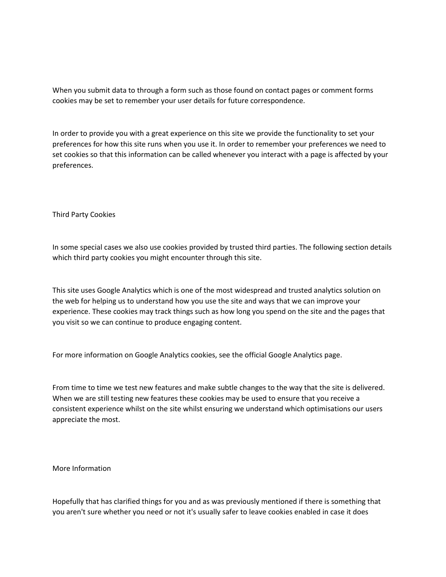When you submit data to through a form such as those found on contact pages or comment forms cookies may be set to remember your user details for future correspondence.

In order to provide you with a great experience on this site we provide the functionality to set your preferences for how this site runs when you use it. In order to remember your preferences we need to set cookies so that this information can be called whenever you interact with a page is affected by your preferences.

Third Party Cookies

In some special cases we also use cookies provided by trusted third parties. The following section details which third party cookies you might encounter through this site.

This site uses Google Analytics which is one of the most widespread and trusted analytics solution on the web for helping us to understand how you use the site and ways that we can improve your experience. These cookies may track things such as how long you spend on the site and the pages that you visit so we can continue to produce engaging content.

For more information on Google Analytics cookies, see the official Google Analytics page.

From time to time we test new features and make subtle changes to the way that the site is delivered. When we are still testing new features these cookies may be used to ensure that you receive a consistent experience whilst on the site whilst ensuring we understand which optimisations our users appreciate the most.

More Information

Hopefully that has clarified things for you and as was previously mentioned if there is something that you aren't sure whether you need or not it's usually safer to leave cookies enabled in case it does